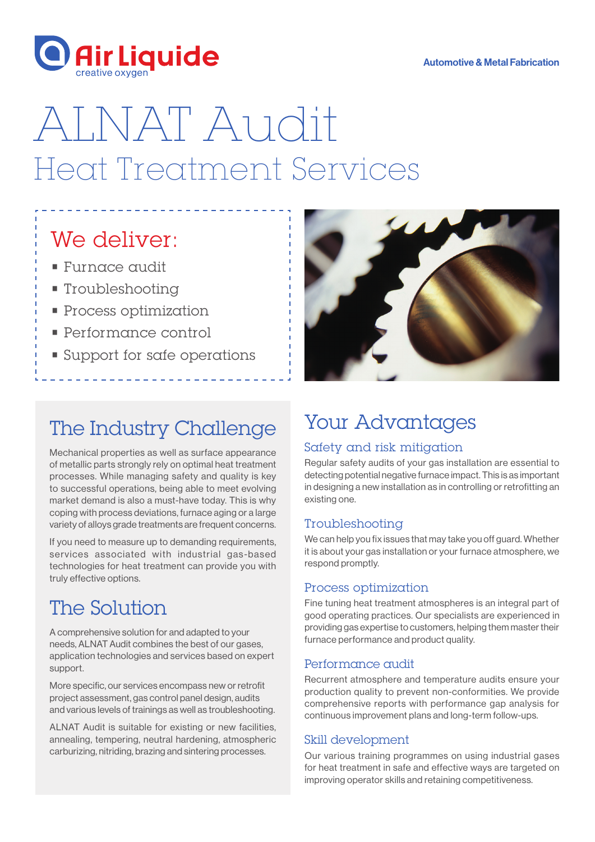

# ALNAT Audit Heat Treatment Services

### We deliver:

- Furnace audit
- Troubleshooting
- **Process optimization**
- Performance control
- Support for safe operations

### The Industry Challenge

Mechanical properties as well as surface appearance of metallic parts strongly rely on optimal heat treatment processes. While managing safety and quality is key to successful operations, being able to meet evolving market demand is also a must-have today. This is why coping with process deviations, furnace aging or a large variety of alloys grade treatments are frequent concerns.

If you need to measure up to demanding requirements, services associated with industrial gas-based technologies for heat treatment can provide you with truly effective options.

### The Solution

A comprehensive solution for and adapted to your needs, ALNAT Audit combines the best of our gases, application technologies and services based on expert support.

More specific, our services encompass new or retrofit project assessment, gas control panel design, audits and various levels of trainings as well as troubleshooting.

ALNAT Audit is suitable for existing or new facilities, annealing, tempering, neutral hardening, atmospheric carburizing, nitriding, brazing and sintering processes.



## Your Advantages

#### Safety and risk mitigation

Regular safety audits of your gas installation are essential to detecting potential negative furnace impact. This is as important in designing a new installation as in controlling or retrofitting an existing one.

#### Troubleshooting

We can help you fix issues that may take you off guard. Whether it is about your gas installation or your furnace atmosphere, we respond promptly.

#### Process optimization

Fine tuning heat treatment atmospheres is an integral part of good operating practices. Our specialists are experienced in providing gas expertise to customers, helping them master their furnace performance and product quality.

#### Performance audit

Recurrent atmosphere and temperature audits ensure your production quality to prevent non-conformities. We provide comprehensive reports with performance gap analysis for continuous improvement plans and long-term follow-ups.

#### Skill development

Our various training programmes on using industrial gases for heat treatment in safe and effective ways are targeted on improving operator skills and retaining competitiveness.